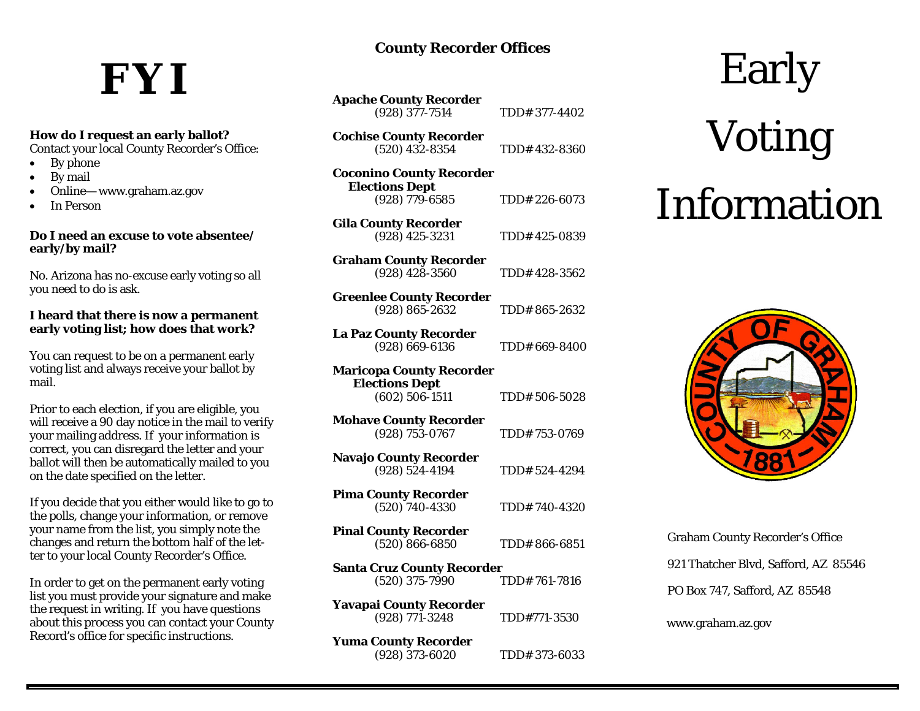### **County Recorder Offices**

## **FYI** Early

#### **How do I request an early ballot?**

Contact your local County Recorder's Office:

- $\bullet$ By phone
- $\bullet$ By mail
- $\bullet$ Online— www.graham.az.gov
- $\bullet$ In Person

#### **Do I need an excuse to vote absentee/early/by mail?**

No. Arizona has no-excuse early voting so all you need to do is ask.

#### **I heard that there is now a permanent early voting list; how does that work?**

You can request to be on a permanent early voting list and always receive your ballot by mail.

Prior to each election, if you are eligible, you will receive a 90 day notice in the mail to verify your mailing address. If your information is correct, you can disregard the letter and your ballot will then be automatically mailed to you on the date specified on the letter.

If you decide that you either would like to go to the polls, change your information, or remove your name from the list, you simply note the changes and return the bottom half of the letter to your local County Recorder's Office.

In order to get on the permanent early voting list you must provide your signature and make the request in writing. If you have questions about this process you can contact your County Record's office for specific instructions.

| <b>Apache County Recorder</b> |               |
|-------------------------------|---------------|
| $(928)$ 377-7514              | TDD# 377-4402 |

**Cochise County Recorder** (520) 432-8354 TDD# 432-8360

| <b>Coconino County Recorder</b><br><b>Elections Dept</b> |               |
|----------------------------------------------------------|---------------|
| $(928)$ 779-6585                                         | TDD# 226-6073 |

**Gila County Recorder** (928) 425-3231 TDD# 425-0839

**Graham County Recorder** (928) 428-3560 TDD# 428-3562

| <b>Greenlee County Recorder</b> |              |
|---------------------------------|--------------|
| $(928) 865 - 2632$              | TDD#865-2632 |

**La Paz County Recorder** (928) 669-6136 TDD# 669-8400

| <b>Maricopa County Recorder</b>   |               |
|-----------------------------------|---------------|
| <b>Elections Dept</b>             |               |
| $(602) 506 - 1511$                | TDD# 506-5028 |
| <b>Mohave County Recorder</b>     |               |
| (928) 753-0767                    | TDD# 753-0769 |
| <b>Navajo County Recorder</b>     |               |
| $(928) 524 - 4194$                | TDD# 524-4294 |
| <b>Pima County Recorder</b>       |               |
| $(520)$ 740-4330                  | TDD#740-4320  |
| <b>Pinal County Recorder</b>      |               |
| $(520) 866 - 6850$                | TDD#866-6851  |
| <b>Santa Cruz County Recorder</b> |               |
| $(520)$ 375-7990                  | TDD# 761-7816 |
| Yavapai County Recorder           |               |
| (928) 771-3248                    | TDD#771-3530  |
| <b>Yuma County Recorder</b>       |               |
| (928) 373-6020                    | TDD# 373-6033 |

# Voting Information



Graham County Recorder's Office 921 Thatcher Blvd, Safford, AZ 85546 PO Box 747, Safford, AZ 85548

www.graham.az.gov